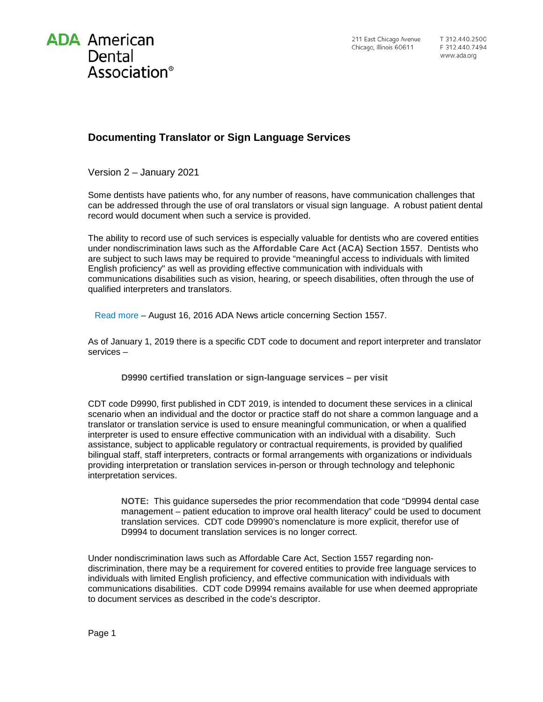

## **Documenting Translator or Sign Language Services**

Version 2 – January 2021

Some dentists have patients who, for any number of reasons, have communication challenges that can be addressed through the use of oral translators or visual sign language. A robust patient dental record would document when such a service is provided.

The ability to record use of such services is especially valuable for dentists who are covered entities under nondiscrimination laws such as the **Affordable Care Act (ACA) Section 1557**. Dentists who are subject to such laws may be required to provide "meaningful access to individuals with limited English proficiency" as well as providing effective communication with individuals with communications disabilities such as vision, hearing, or speech disabilities, often through the use of qualified interpreters and translators.

[Read more](http://www.ada.org/en/publications/ada-news/2016-archive/august/office-for-civil-rights-will-not-delay-sec1557-final-rule) – August 16, 2016 ADA News article concerning Section 1557.

As of January 1, 2019 there is a specific CDT code to document and report interpreter and translator services –

**D9990 certified translation or sign-language services – per visit**

CDT code D9990, first published in CDT 2019, is intended to document these services in a clinical scenario when an individual and the doctor or practice staff do not share a common language and a translator or translation service is used to ensure meaningful communication, or when a qualified interpreter is used to ensure effective communication with an individual with a disability. Such assistance, subject to applicable regulatory or contractual requirements, is provided by qualified bilingual staff, staff interpreters, contracts or formal arrangements with organizations or individuals providing interpretation or translation services in-person or through technology and telephonic interpretation services.

**NOTE:** This guidance supersedes the prior recommendation that code "D9994 dental case management – patient education to improve oral health literacy" could be used to document translation services. CDT code D9990's nomenclature is more explicit, therefor use of D9994 to document translation services is no longer correct.

Under nondiscrimination laws such as Affordable Care Act, Section 1557 regarding nondiscrimination, there may be a requirement for covered entities to provide free language services to individuals with limited English proficiency, and effective communication with individuals with communications disabilities. CDT code D9994 remains available for use when deemed appropriate to document services as described in the code's descriptor.